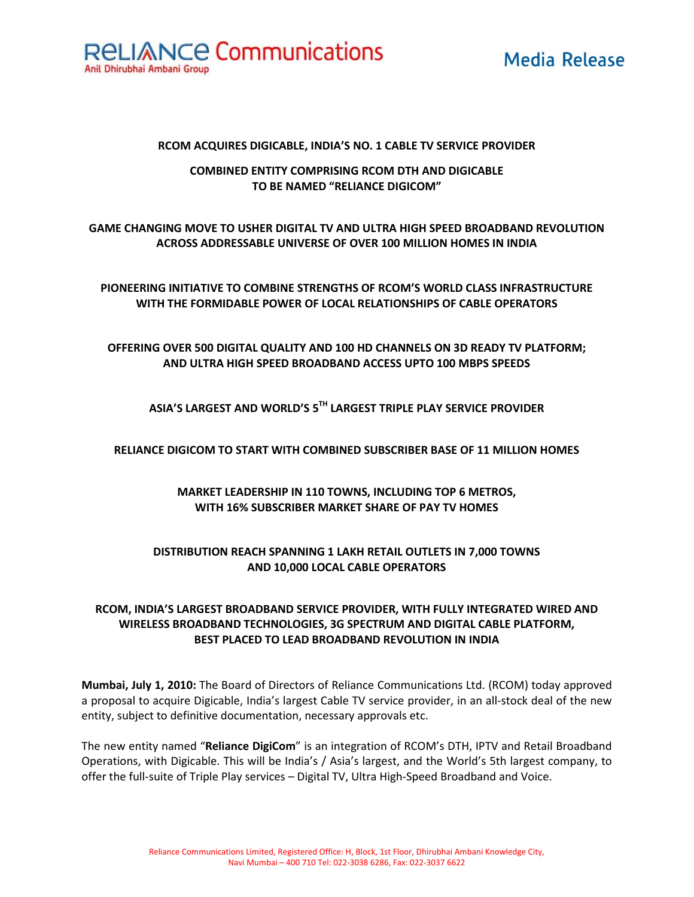

## **Media Release**

#### RCOM ACQUIRES DIGICABLE, INDIA'S NO. 1 CABLE TV SERVICE PROVIDER

#### **COMBINED ENTITY COMPRISING RCOM DTH AND DIGICABLE** TO BE NAMED "RELIANCE DIGICOM"

## GAME CHANGING MOVE TO USHER DIGITAL TV AND ULTRA HIGH SPEED BROADBAND REVOLUTION ACROSS ADDRESSABLE UNIVERSE OF OVER 100 MILLION HOMES IN INDIA

PIONEERING INITIATIVE TO COMBINE STRENGTHS OF RCOM'S WORLD CLASS INFRASTRUCTURE WITH THE FORMIDABLE POWER OF LOCAL RELATIONSHIPS OF CABLE OPERATORS

## OFFERING OVER 500 DIGITAL QUALITY AND 100 HD CHANNELS ON 3D READY TV PLATFORM; AND ULTRA HIGH SPEED BROADBAND ACCESS UPTO 100 MBPS SPEEDS

## ASIA'S LARGEST AND WORLD'S 5TH LARGEST TRIPLE PLAY SERVICE PROVIDER

#### RELIANCE DIGICOM TO START WITH COMBINED SUBSCRIBER BASE OF 11 MILLION HOMES

## MARKET LEADERSHIP IN 110 TOWNS, INCLUDING TOP 6 METROS, WITH 16% SUBSCRIBER MARKET SHARE OF PAY TV HOMES

#### **DISTRIBUTION REACH SPANNING 1 LAKH RETAIL OUTLETS IN 7,000 TOWNS** AND 10,000 LOCAL CABLE OPERATORS

#### RCOM, INDIA'S LARGEST BROADBAND SERVICE PROVIDER, WITH FULLY INTEGRATED WIRED AND WIRELESS BROADBAND TECHNOLOGIES. 3G SPECTRUM AND DIGITAL CABLE PLATFORM. BEST PLACED TO LEAD BROADBAND REVOLUTION IN INDIA

Mumbai, July 1, 2010: The Board of Directors of Reliance Communications Ltd. (RCOM) today approved a proposal to acquire Digicable, India's largest Cable TV service provider, in an all-stock deal of the new entity, subject to definitive documentation, necessary approvals etc.

The new entity named "Reliance DigiCom" is an integration of RCOM's DTH, IPTV and Retail Broadband Operations, with Digicable. This will be India's / Asia's largest, and the World's 5th largest company, to offer the full-suite of Triple Play services - Digital TV, Ultra High-Speed Broadband and Voice.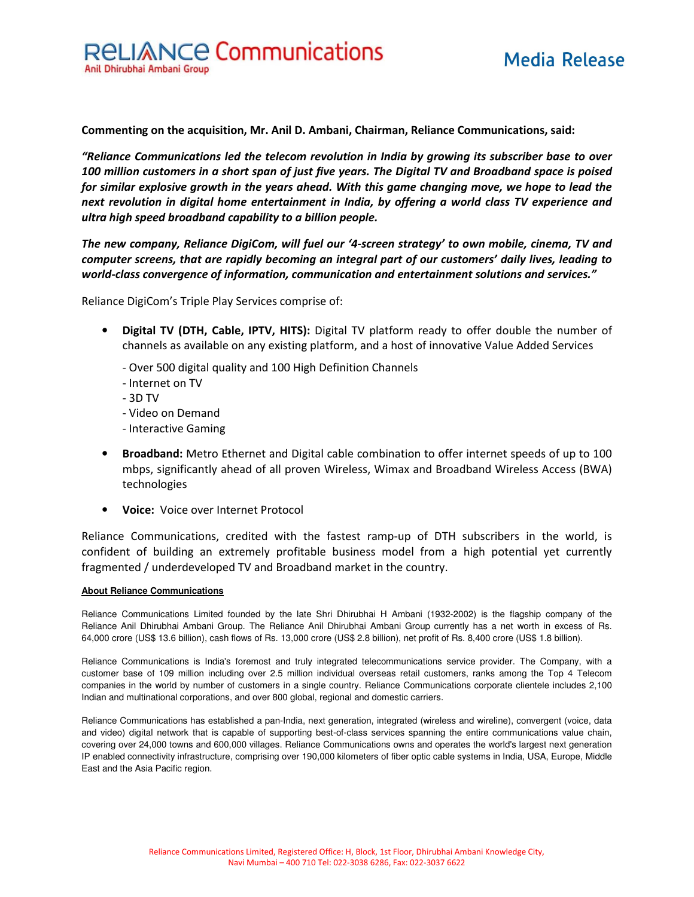Commenting on the acquisition, Mr. Anil D. Ambani, Chairman, Reliance Communications, said:

"Reliance Communications led the telecom revolution in India by growing its subscriber base to over 100 million customers in a short span of just five years. The Digital TV and Broadband space is poised for similar explosive growth in the years ahead. With this game changing move, we hope to lead the next revolution in digital home entertainment in India, by offering a world class TV experience and ultra high speed broadband capability to a billion people.

The new company, Reliance DigiCom, will fuel our '4-screen strategy' to own mobile, cinema, TV and computer screens, that are rapidly becoming an integral part of our customers' daily lives, leading to world-class convergence of information, communication and entertainment solutions and services."

Reliance DigiCom's Triple Play Services comprise of:

- Digital TV (DTH, Cable, IPTV, HITS): Digital TV platform ready to offer double the number of channels as available on any existing platform, and a host of innovative Value Added Services
	- Over 500 digital quality and 100 High Definition Channels
	- Internet on TV
	- $-3D$  TV
	- Video on Demand
	- Interactive Gaming
- Broadband: Metro Ethernet and Digital cable combination to offer internet speeds of up to 100 mbps, significantly ahead of all proven Wireless, Wimax and Broadband Wireless Access (BWA) technologies
- Voice: Voice over Internet Protocol

Reliance Communications, credited with the fastest ramp-up of DTH subscribers in the world, is confident of building an extremely profitable business model from a high potential yet currently fragmented / underdeveloped TV and Broadband market in the country.

#### **About Reliance Communications**

Reliance Communications Limited founded by the late Shri Dhirubhai H Ambani (1932-2002) is the flagship company of the Reliance Anil Dhirubhai Ambani Group. The Reliance Anil Dhirubhai Ambani Group currently has a net worth in excess of Rs. 64,000 crore (US\$ 13.6 billion), cash flows of Rs. 13,000 crore (US\$ 2.8 billion), net profit of Rs. 8,400 crore (US\$ 1.8 billion).

Reliance Communications is India's foremost and truly integrated telecommunications service provider. The Company, with a customer base of 109 million including over 2.5 million individual overseas retail customers, ranks among the Top 4 Telecom companies in the world by number of customers in a single country. Reliance Communications corporate clientele includes 2,100 Indian and multinational corporations, and over 800 global, regional and domestic carriers.

Reliance Communications has established a pan-India, next generation, integrated (wireless and wireline), convergent (voice, data and video) digital network that is capable of supporting best-of-class services spanning the entire communications value chain, covering over 24,000 towns and 600,000 villages. Reliance Communications owns and operates the world's largest next generation IP enabled connectivity infrastructure, comprising over 190,000 kilometers of fiber optic cable systems in India, USA, Europe, Middle East and the Asia Pacific region.